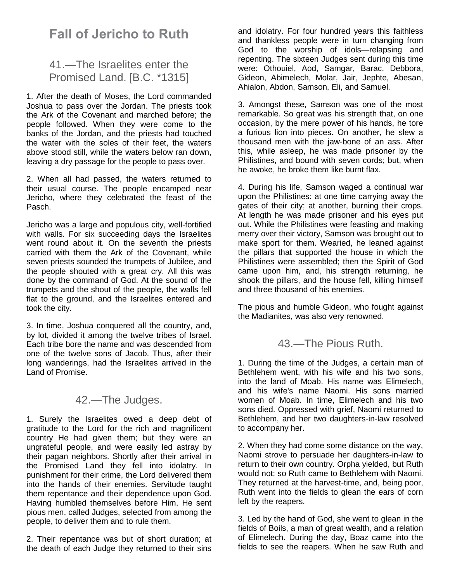## **Fall of Jericho to Ruth**

## 41.—The Israelites enter the Promised Land. [B.C. \*1315]

1. After the death of Moses, the Lord commanded Joshua to pass over the Jordan. The priests took the Ark of the Covenant and marched before; the people followed. When they were come to the banks of the Jordan, and the priests had touched the water with the soles of their feet, the waters above stood still, while the waters below ran down, leaving a dry passage for the people to pass over.

2. When all had passed, the waters returned to their usual course. The people encamped near Jericho, where they celebrated the feast of the Pasch.

Jericho was a large and populous city, well-fortified with walls. For six succeeding days the Israelites went round about it. On the seventh the priests carried with them the Ark of the Covenant, while seven priests sounded the trumpets of Jubilee, and the people shouted with a great cry. All this was done by the command of God. At the sound of the trumpets and the shout of the people, the walls fell flat to the ground, and the Israelites entered and took the city.

3. In time, Joshua conquered all the country, and, by lot, divided it among the twelve tribes of Israel. Each tribe bore the name and was descended from one of the twelve sons of Jacob. Thus, after their long wanderings, had the Israelites arrived in the Land of Promise.

## 42.—The Judges.

1. Surely the Israelites owed a deep debt of gratitude to the Lord for the rich and magnificent country He had given them; but they were an ungrateful people, and were easily led astray by their pagan neighbors. Shortly after their arrival in the Promised Land they fell into idolatry. In punishment for their crime, the Lord delivered them into the hands of their enemies. Servitude taught them repentance and their dependence upon God. Having humbled themselves before Him, He sent pious men, called Judges, selected from among the people, to deliver them and to rule them.

2. Their repentance was but of short duration; at the death of each Judge they returned to their sins

and idolatry. For four hundred years this faithless and thankless people were in turn changing from God to the worship of idols—relapsing and repenting. The sixteen Judges sent during this time were: Othouiel, Aod, Samgar, Barac, Debbora, Gideon, Abimelech, Molar, Jair, Jephte, Abesan, Ahialon, Abdon, Samson, Eli, and Samuel.

3. Amongst these, Samson was one of the most remarkable. So great was his strength that, on one occasion, by the mere power of his hands, he tore a furious lion into pieces. On another, he slew a thousand men with the jaw-bone of an ass. After this, while asleep, he was made prisoner by the Philistines, and bound with seven cords; but, when he awoke, he broke them like burnt flax.

4. During his life, Samson waged a continual war upon the Philistines: at one time carrying away the gates of their city; at another, burning their crops. At length he was made prisoner and his eyes put out. While the Philistines were feasting and making merry over their victory, Samson was brought out to make sport for them. Wearied, he leaned against the pillars that supported the house in which the Philistines were assembled; then the Spirit of God came upon him, and, his strength returning, he shook the pillars, and the house fell, killing himself and three thousand of his enemies.

The pious and humble Gideon, who fought against the Madianites, was also very renowned.

## 43.—The Pious Ruth.

1. During the time of the Judges, a certain man of Bethlehem went, with his wife and his two sons, into the land of Moab. His name was Elimelech, and his wife's name Naomi. His sons married women of Moab. In time, Elimelech and his two sons died. Oppressed with grief, Naomi returned to Bethlehem, and her two daughters-in-law resolved to accompany her.

2. When they had come some distance on the way, Naomi strove to persuade her daughters-in-law to return to their own country. Orpha yielded, but Ruth would not; so Ruth came to Bethlehem with Naomi. They returned at the harvest-time, and, being poor, Ruth went into the fields to glean the ears of corn left by the reapers.

3. Led by the hand of God, she went to glean in the fields of Boils, a man of great wealth, and a relation of Elimelech. During the day, Boaz came into the fields to see the reapers. When he saw Ruth and